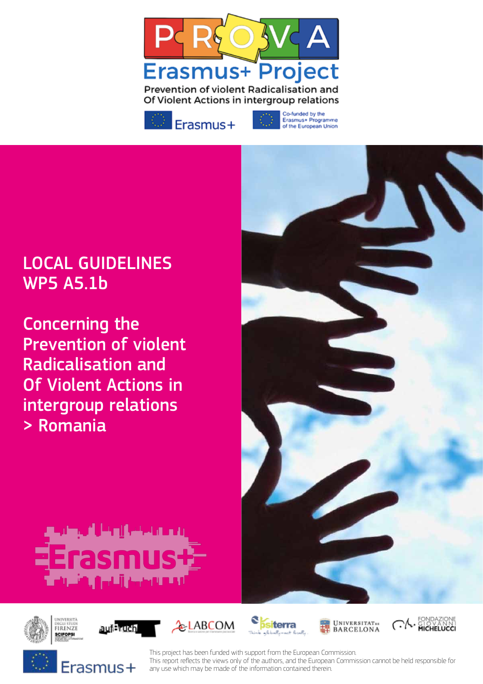



Co-funded by the Erasmus+ Programme<br>of the European Union

# LOCAL GUIDELINES WP5 A5.1b

Concerning the Prevention of violent Radicalisation and Of Violent Actions in intergroup relations > Romania

















This project has been funded with support from the European Commission. This report refects the views only of the authors, and the European Commission cannot be held responsible for any use which may be made of the information contained therein.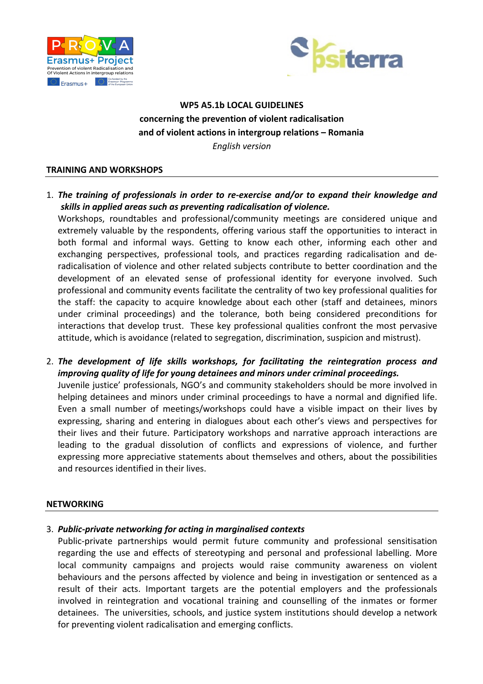



## WP5 A5.1b LOCAL GUIDELINES concerning the prevention of violent radicalisation and of violent actions in intergroup relations – Romania

*English version*

#### **TRAINING AND WORKSHOPS**

1. The training of professionals in order to re-exercise and/or to expand their knowledge and skills in applied areas such as preventing radicalisation of violence.

Workshops, roundtables and professional/community meetings are considered unique and extremely valuable by the respondents, offering various staff the opportunities to interact in both formal and informal ways. Getting to know each other, informing each other and exchanging perspectives, professional tools, and practices regarding radicalisation and deradicalisation of violence and other related subjects contribute to better coordination and the development of an elevated sense of professional identity for everyone involved. Such professional and community events facilitate the centrality of two key professional qualities for the staff: the capacity to acquire knowledge about each other (staff and detainees, minors under criminal proceedings) and the tolerance, both being considered preconditions for interactions that develop trust. These key professional qualities confront the most pervasive attitude, which is avoidance (related to segregation, discrimination, suspicion and mistrust).

2. The development of life skills workshops, for facilitating the reintegration process and *improving quality of life for young detainees and minors under criminal proceedings.* 

Juvenile justice' professionals, NGO's and community stakeholders should be more involved in helping detainees and minors under criminal proceedings to have a normal and dignified life. Even a small number of meetings/workshops could have a visible impact on their lives by expressing, sharing and entering in dialogues about each other's views and perspectives for their lives and their future. Participatory workshops and narrative approach interactions are leading to the gradual dissolution of conflicts and expressions of violence, and further expressing more appreciative statements about themselves and others, about the possibilities and resources identified in their lives

#### **NETWORKING**

#### 3. *Public-private networking for acting in marginalised contexts*

Public-private partnerships would permit future community and professional sensitisation regarding the use and effects of stereotyping and personal and professional labelling. More local community campaigns and projects would raise community awareness on violent behaviours and the persons affected by violence and being in investigation or sentenced as a result of their acts. Important targets are the potential employers and the professionals involved in reintegration and vocational training and counselling of the inmates or former detainees. The universities, schools, and justice system institutions should develop a network for preventing violent radicalisation and emerging conflicts.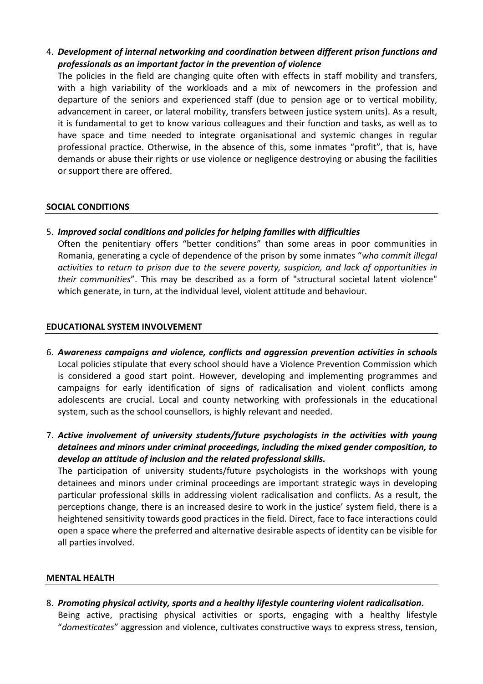4. *Development of internal networking and coordination between different prison functions and* professionals as an important factor in the prevention of violence

The policies in the field are changing quite often with effects in staff mobility and transfers, with a high variability of the workloads and a mix of newcomers in the profession and departure of the seniors and experienced staff (due to pension age or to vertical mobility, advancement in career, or lateral mobility, transfers between justice system units). As a result, it is fundamental to get to know various colleagues and their function and tasks, as well as to have space and time needed to integrate organisational and systemic changes in regular professional practice. Otherwise, in the absence of this, some inmates "profit", that is, have demands or abuse their rights or use violence or negligence destroying or abusing the facilities or support there are offered.

#### **SOCIAL CONDITIONS**

5. *Improved social conditions and policies for helping families with difficulties* 

Often the penitentiary offers "better conditions" than some areas in poor communities in Romania, generating a cycle of dependence of the prison by some inmates "who commit illegal *activities* to return to prison due to the severe poverty, suspicion, and lack of opportunities in *their communities*". This may be described as a form of "structural societal latent violence" which generate, in turn, at the individual level, violent attitude and behaviour.

#### **EDUCATIONAL SYSTEM INVOLVEMENT**

- 6. Awareness campaigns and violence, conflicts and aggression prevention activities in schools Local policies stipulate that every school should have a Violence Prevention Commission which is considered a good start point. However, developing and implementing programmes and campaigns for early identification of signs of radicalisation and violent conflicts among adolescents are crucial. Local and county networking with professionals in the educational system, such as the school counsellors, is highly relevant and needed.
- 7. Active involvement of university students/future psychologists in the activities with young detainees and minors under criminal proceedings, including the mixed gender composition, to develop an attitude of inclusion and the related professional skills.

The participation of university students/future psychologists in the workshops with young detainees and minors under criminal proceedings are important strategic ways in developing particular professional skills in addressing violent radicalisation and conflicts. As a result, the perceptions change, there is an increased desire to work in the justice' system field, there is a heightened sensitivity towards good practices in the field. Direct, face to face interactions could open a space where the preferred and alternative desirable aspects of identity can be visible for all parties involved.

#### **MENTAL HEALTH**

8. Promoting physical activity, sports and a healthy lifestyle countering violent radicalisation. Being active, practising physical activities or sports, engaging with a healthy lifestyle "*domesticates*" aggression and violence, cultivates constructive ways to express stress, tension,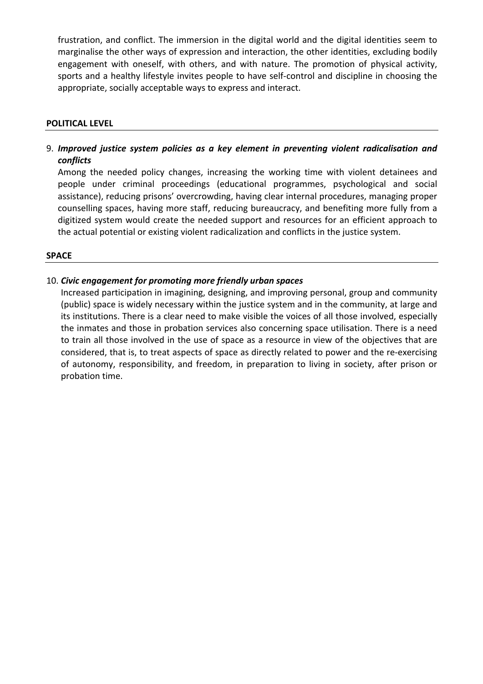frustration, and conflict. The immersion in the digital world and the digital identities seem to marginalise the other ways of expression and interaction, the other identities, excluding bodily engagement with oneself, with others, and with nature. The promotion of physical activity, sports and a healthy lifestyle invites people to have self-control and discipline in choosing the appropriate, socially acceptable ways to express and interact.

#### **POLITICAL LEVEL**

9. *Improved justice system policies as a key element in preventing violent radicalisation and conflicts*

Among the needed policy changes, increasing the working time with violent detainees and people under criminal proceedings (educational programmes, psychological and social assistance), reducing prisons' overcrowding, having clear internal procedures, managing proper counselling spaces, having more staff, reducing bureaucracy, and benefiting more fully from a digitized system would create the needed support and resources for an efficient approach to the actual potential or existing violent radicalization and conflicts in the justice system.

#### **SPACE**

#### 10. Civic engagement for promoting more friendly urban spaces

Increased participation in imagining, designing, and improving personal, group and community (public) space is widely necessary within the justice system and in the community, at large and its institutions. There is a clear need to make visible the voices of all those involved, especially the inmates and those in probation services also concerning space utilisation. There is a need to train all those involved in the use of space as a resource in view of the objectives that are considered, that is, to treat aspects of space as directly related to power and the re-exercising of autonomy, responsibility, and freedom, in preparation to living in society, after prison or probation time.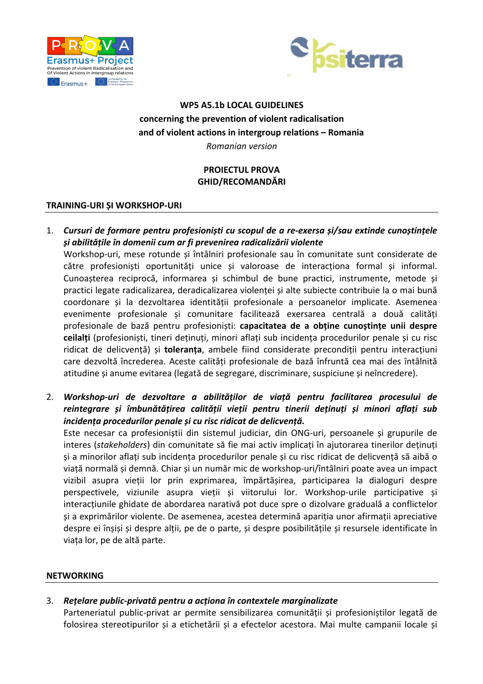



### WP5 A5.1b LOCAL GUIDELINES concerning the prevention of violent radicalisation and of violent actions in intergroup relations – Romania

*Romanian version*

#### **PROIECTUL PROVA GHID/RECOMANDĂRI**

#### **TRAINING-URI ȘI WORKSHOP-URI**

1. Cursuri de formare pentru profesioniști cu scopul de a re-exersa și/sau extinde cunoștințele *și abilitățile în domenii cum ar fi prevenirea radicalizării violente*

Workshop-uri, mese rotunde si întâlniri profesionale sau în comunitate sunt considerate de către profesioniști oportunități unice și valoroase de interacționa formal și informal. Cunoașterea reciprocă, informarea și schimbul de bune practici, instrumente, metode și practici legate radicalizarea, deradicalizarea violenței și alte subiecte contribuie la o mai bună coordonare și la dezvoltarea identității profesionale a persoanelor implicate. Asemenea evenimente profesionale și comunitare facilitează exersarea centrală a două calități profesionale de bază pentru profesioniști: **capacitatea de a obține cunoștințe unii despre ceilalți** (profesioniști, tineri deținuți, minori aflați sub incidența procedurilor penale și cu risc ridicat de delicvență) și **toleranța**, ambele fiind considerate precondiții pentru interacțiuni care dezvoltă încrederea. Aceste calități profesionale de bază înfruntă cea mai des întâlnită atitudine și anume evitarea (legată de segregare, discriminare, suspiciune și neîncredere).

2. Workshop-uri de dezvoltare a abilităților de viață pentru facilitarea procesului de *reintegrare și îmbunătățirea calității vieții pentru tinerii deținuți și minori aflați sub incidența procedurilor penale și cu risc ridicat de delicvență.*

Este necesar ca profesioniștii din sistemul judiciar, din ONG-uri, persoanele și grupurile de interes (*stakeholders*) din comunitate să fie mai activ implicați în ajutorarea tinerilor deținuți și a minorilor aflați sub incidența procedurilor penale și cu risc ridicat de delicvență să aibă o viață normală și demnă. Chiar și un număr mic de workshop-uri/întâlniri poate avea un impact vizibil asupra vieții lor prin exprimarea, împărtășirea, participarea la dialoguri despre perspectivele, viziunile asupra vieții și viitorului lor. Workshop-urile participative și interacțiunile ghidate de abordarea narativă pot duce spre o dizolvare graduală a conflictelor și a exprimărilor violente. De asemenea, acestea determină apariția unor afirmații apreciative despre ei înșiși și despre alții, pe de o parte, și despre posibilitățile și resursele identificate în viata lor, pe de altă parte.

#### **NETWORKING**

3. Rețelare public-privată pentru a acționa în contextele marginalizate

Parteneriatul public-privat ar permite sensibilizarea comunității și profesioniștilor legată de folosirea stereotipurilor și a etichetării și a efectelor acestora. Mai multe campanii locale și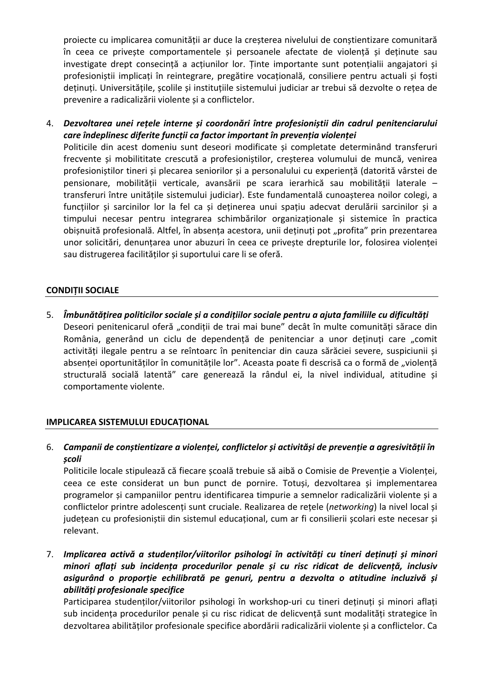proiecte cu implicarea comunității ar duce la creșterea nivelului de conștientizare comunitară în ceea ce privește comportamentele și persoanele afectate de violență și deținute sau investigate drept consecință a acțiunilor lor. Ținte importante sunt potențialii angajatori și profesioniștii implicați în reintegrare, pregătire vocațională, consiliere pentru actuali și foști deținuți. Universitățile, școlile și instituțiile sistemului judiciar ar trebui să dezvolte o rețea de prevenire a radicalizării violente și a conflictelor.

4. Dezvoltarea unei rețele interne și coordonări între profesioniștii din cadrul penitenciarului *care îndeplinesc diferite funcții ca factor important în prevenția violenței*

Politicile din acest domeniu sunt deseori modificate si completate determinând transferuri frecvente și mobilititate crescută a profesioniștilor, creșterea volumului de muncă, venirea profesioniștilor tineri și plecarea seniorilor și a personalului cu experiență (datorită vârstei de pensionare, mobilității verticale, avansării pe scara ierarhică sau mobilității laterale – transferuri între unitățile sistemului judiciar). Este fundamentală cunoașterea noilor colegi, a funcțiilor și sarcinilor lor la fel ca și deținerea unui spațiu adecvat derulării sarcinilor și a timpului necesar pentru integrarea schimbărilor organizaționale și sistemice în practica obișnuită profesională. Altfel, în absența acestora, unii deținuți pot "profita" prin prezentarea unor solicitări, denunțarea unor abuzuri în ceea ce privește drepturile lor, folosirea violenței sau distrugerea facilităților și suportului care li se oferă.

#### **CONDIȚII SOCIALE**

5. *Îmbunătățirea politicilor sociale și a condițiilor sociale pentru a ajuta familiile cu dificultăți* Deseori penitenicarul oferă "condiții de trai mai bune" decât în multe comunități sărace din România, generând un ciclu de dependență de penitenciar a unor deținuți care "comit activități ilegale pentru a se reîntoarc în penitenciar din cauza sărăciei severe, suspiciunii și absenței oportunităților în comunitățile lor". Aceasta poate fi descrisă ca o formă de "violență structurală socială latentă" care generează la rândul ei, la nivel individual, atitudine și comportamente violente.

#### **IMPLICAREA SISTEMULUI EDUCAȚIONAL**

#### 6. Campanii de conștientizare a violenței, conflictelor și activităși de prevenție a agresivității în *școli*

Politicile locale stipulează că fiecare școală trebuie să aibă o Comisie de Prevenție a Violenței, ceea ce este considerat un bun punct de pornire. Totuși, dezvoltarea și implementarea programelor și campaniilor pentru identificarea timpurie a semnelor radicalizării violente și a conflictelor printre adolescenți sunt cruciale. Realizarea de rețele (*networking*) la nivel local și județean cu profesioniștii din sistemul educațional, cum ar fi consilierii școlari este necesar și relevant.

7. Implicarea activă a studenților/viitorilor psihologi în activități cu tineri deținuți și minori *minori aflați sub incidența procedurilor penale și cu risc ridicat de delicvență, inclusiv asigurând o proporție echilibrată pe genuri, pentru a dezvolta o atitudine incluzivă și abilități profesionale specifice*

Participarea studenților/viitorilor psihologi în workshop-uri cu tineri deținuți și minori aflați sub incidența procedurilor penale și cu risc ridicat de delicvență sunt modalități strategice în dezvoltarea abilităților profesionale specifice abordării radicalizării violente și a conflictelor. Ca